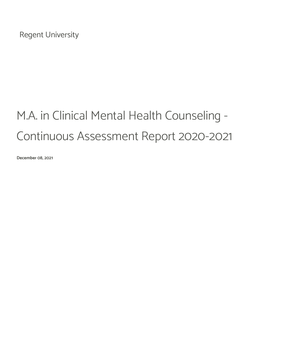Regent University

# M.A. in Clinical Mental Health Counseling - Continuous Assessment Report 2020-2021

December 08, 2021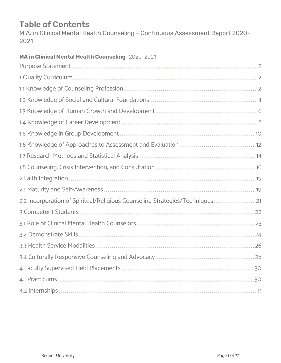# Table of Contents

M.A. in Clinical Mental Health Counseling - Continuous Assessment Report 2020- 2021

| MA in Clinical Mental Health Counseling 2020-2021                                                                                                                                                                                   |  |
|-------------------------------------------------------------------------------------------------------------------------------------------------------------------------------------------------------------------------------------|--|
| Purpose Statement <b>Burnstick Communities</b> and a statement of the contract of the contract of the contract of the contract of the contract of the contract of the contract of the contract of the contract of the contract of t |  |
| 1 Quality Curriculum                                                                                                                                                                                                                |  |
|                                                                                                                                                                                                                                     |  |
|                                                                                                                                                                                                                                     |  |
| 1.3 Knowledge of Human Growth and Development <b>Manual Accord Contracts</b> 6.                                                                                                                                                     |  |
|                                                                                                                                                                                                                                     |  |
|                                                                                                                                                                                                                                     |  |
| 1.6 Knowledge of Approaches to Assessment and Evaluation <b>Superior Act 2018</b>                                                                                                                                                   |  |
| 1.7 Research Methods and Statistical Analysis <b>Analysis</b> 2008 12:00 12:00 14:00 14:00 14:00 14:00 14:00 14:00 14:00 14:00 14:00 14:00 14:00 14:00 14:00 14:00 14:00 14:00 14:00 14:00 14:00 14:00 15:00 16:00 16:00 16:00 16:0 |  |
|                                                                                                                                                                                                                                     |  |
|                                                                                                                                                                                                                                     |  |
| 2.1 Maturity and Self-Awareness <b>Street Belling and Self-Awareness</b> 19                                                                                                                                                         |  |
| 2.2 Incorporation of Spiritual/Religious Counseling Strategies/Techniques 21.                                                                                                                                                       |  |
| 3 Competent Students 3 22                                                                                                                                                                                                           |  |
| 3.1 Role of Clinical Mental Health Counselors <b>Communications</b> 23.                                                                                                                                                             |  |
|                                                                                                                                                                                                                                     |  |
| 3.3 Health Service Modalities <b>Suppose the Contract of August 26</b>                                                                                                                                                              |  |
| 3.4 Culturally Responsive Counseling and Advocacy <b>Manual Action Contains 1998</b>                                                                                                                                                |  |
|                                                                                                                                                                                                                                     |  |
|                                                                                                                                                                                                                                     |  |
|                                                                                                                                                                                                                                     |  |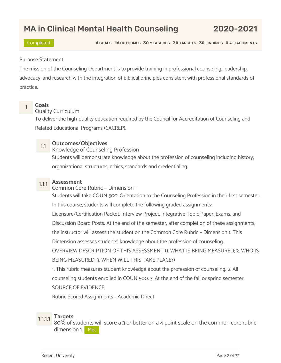# MA in Clinical Mental Health Counseling 2020-2021

Completed 4 GOALS 16 OUTCOMES 30 MEASURES 30 TARGETS 30 FINDINGS 0 ATTACHMENTS

## Purpose Statement

The mission of the Counseling Department is to provide training in professional counseling, leadership, advocacy, and research with the integration of biblical principles consistent with professional standards of practice.



# <mark>1 Goals</mark><br>1 Quality Curriculum

To deliver the high-quality education required by the Council for Accreditation of Counseling and Related Educational Programs (CACREP).

1.1 Outcomes/Objectives<br>Knowledge of Counseling Profession

Students will demonstrate knowledge about the profession of counseling including history, organizational structures, ethics, standards and credentialing.

1.1.1 **Assessment**<br>Common Core Rubric – Dimension 1 Students will take COUN 500: Orientation to the Counseling Profession in their first semester. In this course, students will complete the following graded assignments: Licensure/Certification Packet, Interview Project, Integrative Topic Paper, Exams, and Discussion Board Posts. At the end of the semester, after completion of these assignments, the instructor will assess the student on the Common Core Rubric – Dimension 1. This Dimension assesses students' knowledge about the profession of counseling. OVERVIEW DESCRIPTION OF THIS ASSESSMENT (1. WHAT IS BEING MEASURED; 2. WHO IS BEING MEASURED; 3. WHEN WILL THIS TAKE PLACE?) 1. This rubric measures student knowledge about the profession of counseling. 2. All

counseling students enrolled in COUN 500. 3. At the end of the fall or spring semester.

SOURCE OF EVIDENCE

Rubric Scored Assignments - Academic Direct

1.1.1.1 Targets 80% of students will score a 3 or better on a 4 point scale on the common core rubric dimension 1. Met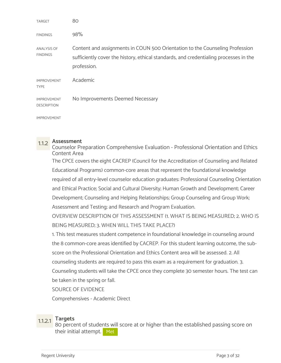| <b>TARGET</b>                            | 80                                                                                                                                                                                   |
|------------------------------------------|--------------------------------------------------------------------------------------------------------------------------------------------------------------------------------------|
| <b>FINDINGS</b>                          | 98%                                                                                                                                                                                  |
| ANALYSIS OF<br>FINDINGS                  | Content and assignments in COUN 500 Orientation to the Counseling Profession<br>sufficiently cover the history, ethical standards, and credentialing processes in the<br>profession. |
| <b>IMPROVEMENT</b><br><b>TYPE</b>        | Academic                                                                                                                                                                             |
| <b>IMPROVEMENT</b><br><b>DESCRIPTION</b> | No Improvements Deemed Necessary                                                                                                                                                     |
| <b>IMPROVEMENT</b>                       |                                                                                                                                                                                      |

1.1.2 Assessment Counselor Preparation Comprehensive Evaluation - Professional Orientation and Ethics Content Area

The CPCE covers the eight CACREP (Council for the Accreditation of Counseling and Related Educational Programs) common-core areas that represent the foundational knowledge required of all entry-level counselor education graduates: Professional Counseling Orientation and Ethical Practice; Social and Cultural Diversity; Human Growth and Development; Career Development; Counseling and Helping Relationships; Group Counseling and Group Work; Assessment and Testing; and Research and Program Evaluation.

OVERVIEW DESCRIPTION OF THIS ASSESSMENT (1. WHAT IS BEING MEASURED; 2. WHO IS BEING MEASURED; 3. WHEN WILL THIS TAKE PLACE?)

1. This test measures student competence in foundational knowledge in counseling around the 8 common-core areas identified by CACREP. For this student learning outcome, the subscore on the Professional Orientation and Ethics Content area will be assessed. 2. All counseling students are required to pass this exam as a requirement for graduation. 3. Counseling students will take the CPCE once they complete 30 semester hours. The test can be taken in the spring or fall.

SOURCE OF EVIDENCE

Comprehensives - Academic Direct

1.1.2.1 Targets 80 percent of students will score at or higher than the established passing score on their initial attempt. Met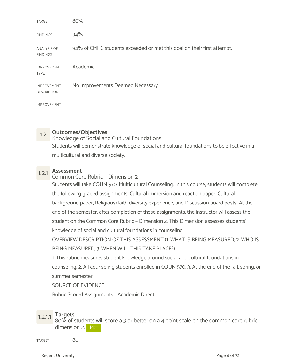| <b>TARGET</b>                            | 80%                                                                    |
|------------------------------------------|------------------------------------------------------------------------|
| <b>FINDINGS</b>                          | 94%                                                                    |
| <b>ANALYSIS OF</b><br><b>FINDINGS</b>    | 94% of CMHC students exceeded or met this goal on their first attempt. |
| <b>IMPROVEMENT</b><br><b>TYPE</b>        | Academic                                                               |
| <b>IMPROVEMENT</b><br><b>DESCRIPTION</b> | No Improvements Deemed Necessary                                       |
| <b>IMPROVEMENT</b>                       |                                                                        |

# 1.2 Outcomes/Objectives

Knowledge of Social and Cultural Foundations Students will demonstrate knowledge of social and cultural foundations to be effective in a multicultural and diverse society.

1.2.1 Assessment Common Core Rubric – Dimension 2 Students will take COUN 570: Multicultural Counseling. In this course, students will complete the following graded assignments: Cultural immersion and reaction paper, Cultural background paper, Religious/faith diversity experience, and Discussion board posts. At the end of the semester, after completion of these assignments, the instructor will assess the student on the Common Core Rubric – Dimension 2. This Dimension assesses students' knowledge of social and cultural foundations in counseling.

OVERVIEW DESCRIPTION OF THIS ASSESSMENT (1. WHAT IS BEING MEASURED; 2. WHO IS BEING MEASURED; 3. WHEN WILL THIS TAKE PLACE?)

1. This rubric measures student knowledge around social and cultural foundations in counseling. 2. All counseling students enrolled in COUN 570. 3. At the end of the fall, spring, or summer semester.

SOURCE OF EVIDENCE

Rubric Scored Assignments - Academic Direct

1.2.1.1 Targets<br>80% of students will score a 3 or better on a 4 point scale on the common core rubric dimension 2. Met

TARGET 80 80 and 30 and 30 and 30 and 30 and 30 and 30 and 30 and 30 and 30 and 30 and 30 and 30 and 30 and 30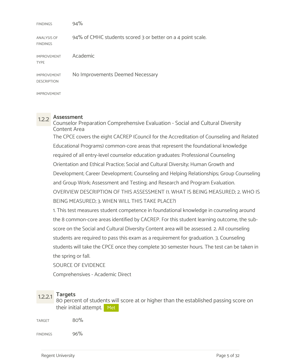| <b>FINDINGS</b>                          | 94%                                                         |
|------------------------------------------|-------------------------------------------------------------|
| <b>ANALYSIS OF</b><br><b>FINDINGS</b>    | 94% of CMHC students scored 3 or better on a 4 point scale. |
| <b>IMPROVEMENT</b><br><b>TYPE</b>        | Academic                                                    |
| <b>IMPROVEMENT</b><br><b>DESCRIPTION</b> | No Improvements Deemed Necessary                            |
| <b>IMPROVEMENT</b>                       |                                                             |

1.2.2 Assessment Counselor Preparation Comprehensive Evaluation - Social and Cultural Diversity Content Area The CPCE covers the eight CACREP (Council for the Accreditation of Counseling and Related Educational Programs) common-core areas that represent the foundational knowledge required of all entry-level counselor education graduates: Professional Counseling Orientation and Ethical Practice; Social and Cultural Diversity; Human Growth and Development; Career Development; Counseling and Helping Relationships; Group Counseling and Group Work; Assessment and Testing; and Research and Program Evaluation. OVERVIEW DESCRIPTION OF THIS ASSESSMENT (1. WHAT IS BEING MEASURED; 2. WHO IS BEING MEASURED; 3. WHEN WILL THIS TAKE PLACE?)

1. This test measures student competence in foundational knowledge in counseling around the 8 common-core areas identified by CACREP. For this student learning outcome, the subscore on the Social and Cultural Diversity Content area will be assessed. 2. All counseling students are required to pass this exam as a requirement for graduation. 3. Counseling students will take the CPCE once they complete 30 semester hours. The test can be taken in the spring or fall.

SOURCE OF EVIDENCE

Comprehensives - Academic Direct

1.2.2.1 Targets<br>80 percent of students will score at or higher than the established passing score on their initial attempt. Met

 $\mu_{\rm{R1}}$  and  $\mu_{\rm{S0}}$  and  $\mu_{\rm{S0}}$  and  $\mu_{\rm{S1}}$  and  $\mu_{\rm{S1}}$  and  $\mu_{\rm{S1}}$ 

 $\sim$  96% sets and 96% sets and 96% sets and 96% sets and 96% sets and 96% sets and 96% sets and 96% sets and 96% sets and 96% sets and 96% sets and 96% sets and 96% sets and 96% sets and 96% sets and 96% sets and 96% sets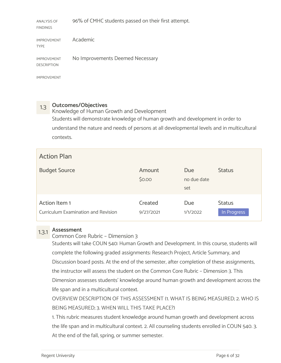ANALYSIS OF 96% of CMHC students passed on their first attempt.

| <b>IMPROVEMENT</b><br><b>TYPE</b> | Academic                         |
|-----------------------------------|----------------------------------|
| <b>IMPROVEMENT</b><br>DESCRIPTION | No Improvements Deemed Necessary |

IMPROVEMENT

FINDINGS

1.3 Outcomes/Objectives Knowledge of Human Growth and Development Students will demonstrate knowledge of human growth and development in order to understand the nature and needs of persons at all developmental levels and in multicultural contexts.

| <b>Action Plan</b>                                   |                      |                           |                              |
|------------------------------------------------------|----------------------|---------------------------|------------------------------|
| <b>Budget Source</b>                                 | Amount<br>\$0.00     | Due<br>no due date<br>set | <b>Status</b>                |
| Action Item 1<br>Curriculum Examination and Revision | Created<br>9/27/2021 | Due<br>1/1/2022           | <b>Status</b><br>In Progress |

# 1.3.1 Assessment

Common Core Rubric – Dimension 3

Students will take COUN 540: Human Growth and Development. In this course, students will complete the following graded assignments: Research Project, Article Summary, and Discussion board posts. At the end of the semester, after completion of these assignments, the instructor will assess the student on the Common Core Rubric – Dimension 3. This Dimension assesses students' knowledge around human growth and development across the life span and in a multicultural context.

OVERVIEW DESCRIPTION OF THIS ASSESSMENT (1. WHAT IS BEING MEASURED; 2. WHO IS BEING MEASURED; 3. WHEN WILL THIS TAKE PLACE?)

1. This rubric measures student knowledge around human growth and development across the life span and in multicultural context. 2. All counseling students enrolled in COUN 540. 3. At the end of the fall, spring, or summer semester.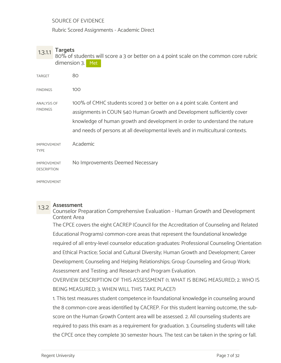SOURCE OF EVIDENCE

Rubric Scored Assignments - Academic Direct

1.3.1.1 Targets<br>80% of students will score a 3 or better on a 4 point scale on the common core rubric dimension 3. Met

| TARGET                                   | 80                                                                                                                                                                                                                                                                                                                    |
|------------------------------------------|-----------------------------------------------------------------------------------------------------------------------------------------------------------------------------------------------------------------------------------------------------------------------------------------------------------------------|
| <b>FINDINGS</b>                          | 100                                                                                                                                                                                                                                                                                                                   |
| ANALYSIS OF<br><b>FINDINGS</b>           | 100% of CMHC students scored 3 or better on a 4 point scale. Content and<br>assignments in COUN 540 Human Growth and Development sufficiently cover<br>knowledge of human growth and development in order to understand the nature<br>and needs of persons at all developmental levels and in multicultural contexts. |
| <b>IMPROVEMENT</b><br><b>TYPE</b>        | Academic                                                                                                                                                                                                                                                                                                              |
| <b>IMPROVEMENT</b><br><b>DESCRIPTION</b> | No Improvements Deemed Necessary                                                                                                                                                                                                                                                                                      |
|                                          |                                                                                                                                                                                                                                                                                                                       |

IMPROVEMENT

1.3.2 Assessment Counselor Preparation Comprehensive Evaluation - Human Growth and Development Content Area

The CPCE covers the eight CACREP (Council for the Accreditation of Counseling and Related Educational Programs) common-core areas that represent the foundational knowledge required of all entry-level counselor education graduates: Professional Counseling Orientation and Ethical Practice; Social and Cultural Diversity; Human Growth and Development; Career Development; Counseling and Helping Relationships; Group Counseling and Group Work; Assessment and Testing; and Research and Program Evaluation.

OVERVIEW DESCRIPTION OF THIS ASSESSMENT (1. WHAT IS BEING MEASURED; 2. WHO IS BEING MEASURED; 3. WHEN WILL THIS TAKE PLACE?)

1. This test measures student competence in foundational knowledge in counseling around the 8 common-core areas identified by CACREP. For this student learning outcome, the subscore on the Human Growth Content area will be assessed. 2. All counseling students are required to pass this exam as a requirement for graduation. 3. Counseling students will take the CPCE once they complete 30 semester hours. The test can be taken in the spring or fall.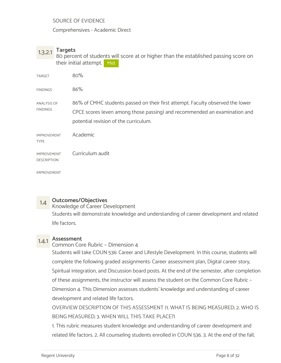## SOURCE OF EVIDENCE

Comprehensives - Academic Direct

1.3.2.1 Targets 80 percent of students will score at or higher than the established passing score on their initial attempt. Met

| TARGET                                   | 80%                                                                                                                                                                                                  |
|------------------------------------------|------------------------------------------------------------------------------------------------------------------------------------------------------------------------------------------------------|
| <b>FINDINGS</b>                          | 86%                                                                                                                                                                                                  |
| ANALYSIS OF<br><b>FINDINGS</b>           | 86% of CMHC students passed on their first attempt. Faculty observed the lower<br>CPCE scores (even among those passing) and recommended an examination and<br>potential revision of the curriculum. |
| <b>IMPROVEMENT</b><br><b>TYPE</b>        | Academic                                                                                                                                                                                             |
| <b>IMPROVEMENT</b><br><b>DESCRIPTION</b> | Curriculum audit                                                                                                                                                                                     |
| <b>IMPROVEMENT</b>                       |                                                                                                                                                                                                      |

1.4 **Outcomes/Objectives**<br>Knowledge of Career Development Students will demonstrate knowledge and understanding of career development and related life factors.

# 1.4.1 Assessment

## Common Core Rubric – Dimension 4

Students will take COUN 536: Career and Lifestyle Development. In this course, students will complete the following graded assignments: Career assessment plan, Digital career story, Spiritual integration, and Discussion board posts. At the end of the semester, after completion of these assignments, the instructor will assess the student on the Common Core Rubric – Dimension 4. This Dimension assesses students' knowledge and understanding of career development and related life factors.

OVERVIEW DESCRIPTION OF THIS ASSESSMENT (1. WHAT IS BEING MEASURED; 2. WHO IS BEING MEASURED; 3. WHEN WILL THIS TAKE PLACE?)

1. This rubric measures student knowledge and understanding of career development and related life factors. 2. All counseling students enrolled in COUN 536. 3. At the end of the fall,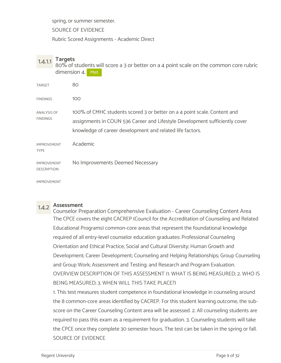spring, or summer semester.

SOURCE OF EVIDENCE

Rubric Scored Assignments - Academic Direct

| 1.4.1.1                                  | <b>Targets</b><br>dimension 4. Met | 80% of students will score a 3 or better on a 4 point scale on the common core rubric                                                                                                                                |
|------------------------------------------|------------------------------------|----------------------------------------------------------------------------------------------------------------------------------------------------------------------------------------------------------------------|
|                                          |                                    |                                                                                                                                                                                                                      |
| <b>TARGET</b>                            | 80                                 |                                                                                                                                                                                                                      |
| <b>FINDINGS</b>                          | 100                                |                                                                                                                                                                                                                      |
| ANALYSIS OF<br><b>FINDINGS</b>           |                                    | 100% of CMHC students scored 3 or better on a 4 point scale. Content and<br>assignments in COUN 536 Career and Lifestyle Development sufficiently cover<br>knowledge of career development and related life factors. |
| <b>IMPROVEMENT</b><br><b>TYPE</b>        |                                    | Academic                                                                                                                                                                                                             |
| <b>IMPROVEMENT</b><br><b>DESCRIPTION</b> |                                    | No Improvements Deemed Necessary                                                                                                                                                                                     |
| <b>IMPROVEMENT</b>                       |                                    |                                                                                                                                                                                                                      |

1.4.2 Assessment Counselor Preparation Comprehensive Evaluation - Career Counseling Content Area The CPCE covers the eight CACREP (Council for the Accreditation of Counseling and Related Educational Programs) common-core areas that represent the foundational knowledge required of all entry-level counselor education graduates: Professional Counseling Orientation and Ethical Practice; Social and Cultural Diversity; Human Growth and Development; Career Development; Counseling and Helping Relationships; Group Counseling and Group Work; Assessment and Testing; and Research and Program Evaluation. OVERVIEW DESCRIPTION OF THIS ASSESSMENT (1. WHAT IS BEING MEASURED; 2. WHO IS BEING MEASURED; 3. WHEN WILL THIS TAKE PLACE?)

1. This test measures student competence in foundational knowledge in counseling around the 8 common-core areas identified by CACREP. For this student learning outcome, the subscore on the Career Counseling Content area will be assessed. 2. All counseling students are required to pass this exam as a requirement for graduation. 3. Counseling students will take the CPCE once they complete 30 semester hours. The test can be taken in the spring or fall. SOURCE OF EVIDENCE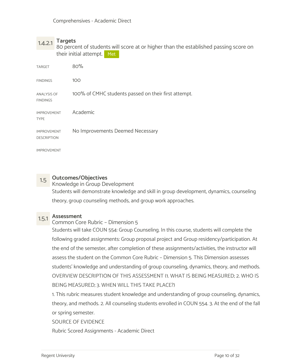1.4.2.1 Targets 80 percent of students will score at or higher than the established passing score on their initial attempt. Met

| TARGET                                   | 80%                                                  |
|------------------------------------------|------------------------------------------------------|
| <b>FINDINGS</b>                          | 100                                                  |
| <b>ANALYSIS OF</b><br><b>FINDINGS</b>    | 100% of CMHC students passed on their first attempt. |
| <b>IMPROVEMENT</b><br><b>TYPE</b>        | Academic                                             |
| <b>IMPROVEMENT</b><br><b>DESCRIPTION</b> | No Improvements Deemed Necessary                     |
| <b>IMPROVEMENT</b>                       |                                                      |

1.5 Outcomes/Objectives<br>Knowledge in Group Development Students will demonstrate knowledge and skill in group development, dynamics, counseling theory, group counseling methods, and group work approaches.

# 1.5.1 Assessment Common Core Rubric – Dimension 5

Students will take COUN 554: Group Counseling. In this course, students will complete the following graded assignments: Group proposal project and Group residency/participation. At the end of the semester, after completion of these assignments/activities, the instructor will assess the student on the Common Core Rubric – Dimension 5. This Dimension assesses students' knowledge and understanding of group counseling, dynamics, theory, and methods. OVERVIEW DESCRIPTION OF THIS ASSESSMENT (1. WHAT IS BEING MEASURED; 2. WHO IS BEING MEASURED; 3. WHEN WILL THIS TAKE PLACE?)

1. This rubric measures student knowledge and understanding of group counseling, dynamics, theory, and methods. 2. All counseling students enrolled in COUN 554. 3. At the end of the fall or spring semester.

SOURCE OF EVIDENCE

Rubric Scored Assignments - Academic Direct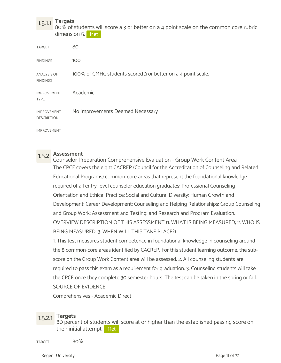1.5.1.1 Targets 80% of students will score a 3 or better on a 4 point scale on the common core rubric dimension 5. Met

| <b>TARGET</b>                            | 80                                                           |
|------------------------------------------|--------------------------------------------------------------|
| <b>FINDINGS</b>                          | 100                                                          |
| <b>ANALYSIS OF</b><br><b>FINDINGS</b>    | 100% of CMHC students scored 3 or better on a 4 point scale. |
| <b>IMPROVEMENT</b><br><b>TYPE</b>        | Academic                                                     |
| <b>IMPROVEMENT</b><br><b>DESCRIPTION</b> | No Improvements Deemed Necessary                             |

IMPROVEMENT

1.5.2 Assessment Counselor Preparation Comprehensive Evaluation - Group Work Content Area The CPCE covers the eight CACREP (Council for the Accreditation of Counseling and Related Educational Programs) common-core areas that represent the foundational knowledge required of all entry-level counselor education graduates: Professional Counseling Orientation and Ethical Practice; Social and Cultural Diversity; Human Growth and Development; Career Development; Counseling and Helping Relationships; Group Counseling and Group Work; Assessment and Testing; and Research and Program Evaluation. OVERVIEW DESCRIPTION OF THIS ASSESSMENT (1. WHAT IS BEING MEASURED; 2. WHO IS BEING MEASURED; 3. WHEN WILL THIS TAKE PLACE?)

1. This test measures student competence in foundational knowledge in counseling around the 8 common-core areas identified by CACREP. For this student learning outcome, the subscore on the Group Work Content area will be assessed. 2. All counseling students are required to pass this exam as a requirement for graduation. 3. Counseling students will take the CPCE once they complete 30 semester hours. The test can be taken in the spring or fall. SOURCE OF EVIDENCE

Comprehensives - Academic Direct

1.5.2.1 Targets 80 percent of students will score at or higher than the established passing score on their initial attempt. Met

 $\frac{1}{80\%}$ 

Regent University **Page 11 of 32**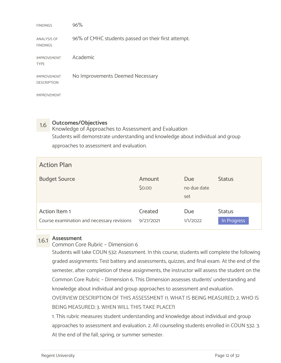| <b>FINDINGS</b>                          | 96%                                                 |
|------------------------------------------|-----------------------------------------------------|
| <b>ANALYSIS OF</b><br><b>FINDINGS</b>    | 96% of CMHC students passed on their first attempt. |
| <b>IMPROVEMENT</b><br><b>TYPE</b>        | Academic                                            |
| <b>IMPROVEMENT</b><br><b>DESCRIPTION</b> | No Improvements Deemed Necessary                    |
| <b>IMPROVEMENT</b>                       |                                                     |

1.6 **Outcomes/Objectives**<br>Knowledge of Approaches to Assessment and Evaluation Students will demonstrate understanding and knowledge about individual and group approaches to assessment and evaluation.

| <b>Action Plan</b>                                          |                      |                           |                              |
|-------------------------------------------------------------|----------------------|---------------------------|------------------------------|
| <b>Budget Source</b>                                        | Amount<br>\$0.00     | Due<br>no due date<br>set | <b>Status</b>                |
| Action Item 1<br>Course examination and necessary revisions | Created<br>9/27/2021 | Due<br>1/1/2022           | <b>Status</b><br>In Progress |

# 1.6.1 Assessment

Common Core Rubric – Dimension 6

Students will take COUN 532: Assessment. In this course, students will complete the following graded assignments: Test battery and assessments, quizzes, and final exam. At the end of the semester, after completion of these assignments, the instructor will assess the student on the Common Core Rubric – Dimension 6. This Dimension assesses students' understanding and knowledge about individual and group approaches to assessment and evaluation.

OVERVIEW DESCRIPTION OF THIS ASSESSMENT (1. WHAT IS BEING MEASURED; 2. WHO IS BEING MEASURED; 3. WHEN WILL THIS TAKE PLACE?)

1. This rubric measures student understanding and knowledge about individual and group approaches to assessment and evaluation. 2. All counseling students enrolled in COUN 532. 3. At the end of the fall, spring, or summer semester.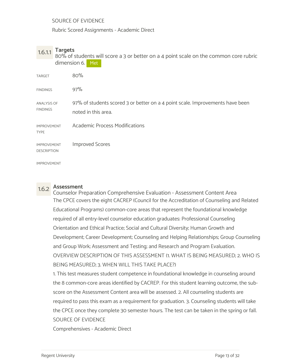SOURCE OF EVIDENCE

Rubric Scored Assignments - Academic Direct

1.6.1.1 Targets 80% of students will score a 3 or better on a 4 point scale on the common core rubric dimension 6. Met

| <b>TARGET</b>                            | 80%                                                                                                  |
|------------------------------------------|------------------------------------------------------------------------------------------------------|
| <b>FINDINGS</b>                          | 97%                                                                                                  |
| ANALYSIS OF<br><b>FINDINGS</b>           | 97% of students scored 3 or better on a 4 point scale. Improvements have been<br>noted in this area. |
| <b>IMPROVEMENT</b><br><b>TYPE</b>        | <b>Academic Process Modifications</b>                                                                |
| <b>IMPROVEMENT</b><br><b>DESCRIPTION</b> | <b>Improved Scores</b>                                                                               |
| <b>IMPROVEMENT</b>                       |                                                                                                      |

1.6.2 Assessment Counselor Preparation Comprehensive Evaluation - Assessment Content Area The CPCE covers the eight CACREP (Council for the Accreditation of Counseling and Related Educational Programs) common-core areas that represent the foundational knowledge required of all entry-level counselor education graduates: Professional Counseling Orientation and Ethical Practice; Social and Cultural Diversity; Human Growth and Development; Career Development; Counseling and Helping Relationships; Group Counseling and Group Work; Assessment and Testing; and Research and Program Evaluation. OVERVIEW DESCRIPTION OF THIS ASSESSMENT (1. WHAT IS BEING MEASURED; 2. WHO IS BEING MEASURED; 3. WHEN WILL THIS TAKE PLACE?)

1. This test measures student competence in foundational knowledge in counseling around the 8 common-core areas identified by CACREP. For this student learning outcome, the subscore on the Assessment Content area will be assessed. 2. All counseling students are required to pass this exam as a requirement for graduation. 3. Counseling students will take the CPCE once they complete 30 semester hours. The test can be taken in the spring or fall. SOURCE OF EVIDENCE

Comprehensives - Academic Direct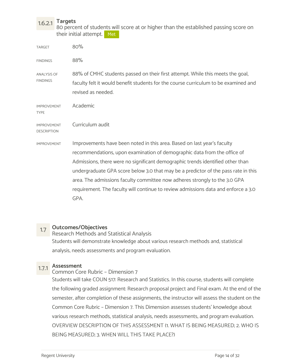## 1.6.2.1 Targets 80 percent of students will score at or higher than the established passing score on their initial attempt. Met

| <b>TARGET</b>                            | 80%                                                                                                                                                                                                                                                                                                                                                                                                                                                                                                     |
|------------------------------------------|---------------------------------------------------------------------------------------------------------------------------------------------------------------------------------------------------------------------------------------------------------------------------------------------------------------------------------------------------------------------------------------------------------------------------------------------------------------------------------------------------------|
| <b>FINDINGS</b>                          | 88%                                                                                                                                                                                                                                                                                                                                                                                                                                                                                                     |
| ANALYSIS OF<br><b>FINDINGS</b>           | 88% of CMHC students passed on their first attempt. While this meets the goal,<br>faculty felt it would benefit students for the course curriculum to be examined and<br>revised as needed.                                                                                                                                                                                                                                                                                                             |
| <b>IMPROVEMENT</b><br><b>TYPE</b>        | Academic                                                                                                                                                                                                                                                                                                                                                                                                                                                                                                |
| <b>IMPROVEMENT</b><br><b>DESCRIPTION</b> | Curriculum audit                                                                                                                                                                                                                                                                                                                                                                                                                                                                                        |
| <b>IMPROVEMENT</b>                       | Improvements have been noted in this area. Based on last year's faculty<br>recommendations, upon examination of demographic data from the office of<br>Admissions, there were no significant demographic trends identified other than<br>undergraduate GPA score below 3.0 that may be a predictor of the pass rate in this<br>area. The admissions faculty committee now adheres strongly to the 3.0 GPA<br>requirement. The faculty will continue to review admissions data and enforce a 3.0<br>GPA. |
|                                          |                                                                                                                                                                                                                                                                                                                                                                                                                                                                                                         |

## 1.7 Outcomes/Objectives

Research Methods and Statistical Analysis Students will demonstrate knowledge about various research methods and, statistical analysis, needs assessments and program evaluation.

# 1.7.1 Assessment Common Core Rubric – Dimension 7

Students will take COUN 517: Research and Statistics. In this course, students will complete the following graded assignment: Research proposal project and Final exam. At the end of the semester, after completion of these assignments, the instructor will assess the student on the Common Core Rubric – Dimension 7. This Dimension assesses students' knowledge about various research methods, statistical analysis, needs assessments, and program evaluation. OVERVIEW DESCRIPTION OF THIS ASSESSMENT (1. WHAT IS BEING MEASURED; 2. WHO IS BEING MEASURED; 3. WHEN WILL THIS TAKE PLACE?)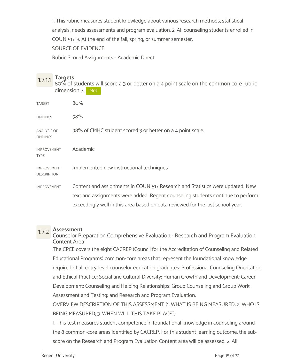1. This rubric measures student knowledge about various research methods, statistical analysis, needs assessments and program evaluation. 2. All counseling students enrolled in COUN 517. 3. At the end of the fall, spring, or summer semester. SOURCE OF EVIDENCE

Rubric Scored Assignments - Academic Direct

1.7.1.1 Targets<br>80% of students will score a 3 or better on a 4 point scale on the common core rubric dimension 7. Met

| <b>TARGET</b>                            | 80%                                                                             |
|------------------------------------------|---------------------------------------------------------------------------------|
| <b>FINDINGS</b>                          | 98%                                                                             |
| ANALYSIS OF<br>FINDINGS                  | 98% of CMHC student scored 3 or better on a 4 point scale.                      |
| <b>IMPROVEMENT</b><br>TYPE               | Academic                                                                        |
| <b>IMPROVEMENT</b><br><b>DESCRIPTION</b> | Implemented new instructional techniques                                        |
| <b>IMPROVEMENT</b>                       | Content and assignments in COUN 517 Research and Statistics were updated. New   |
|                                          | text and assignments were added. Regent counseling students continue to perform |
|                                          | exceedingly well in this area based on data reviewed for the last school year.  |

1.7.2 Assessment Counselor Preparation Comprehensive Evaluation - Research and Program Evaluation Content Area The CPCE covers the eight CACREP (Council for the Accreditation of Counseling and Related Educational Programs) common-core areas that represent the foundational knowledge required of all entry-level counselor education graduates: Professional Counseling Orientation and Ethical Practice; Social and Cultural Diversity; Human Growth and Development; Career Development; Counseling and Helping Relationships; Group Counseling and Group Work; Assessment and Testing; and Research and Program Evaluation.

OVERVIEW DESCRIPTION OF THIS ASSESSMENT (1. WHAT IS BEING MEASURED; 2. WHO IS BEING MEASURED; 3. WHEN WILL THIS TAKE PLACE?)

1. This test measures student competence in foundational knowledge in counseling around the 8 common-core areas identified by CACREP. For this student learning outcome, the subscore on the Research and Program Evaluation Content area will be assessed. 2. All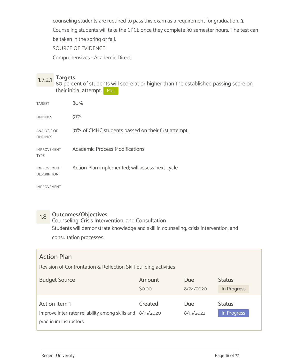counseling students are required to pass this exam as a requirement for graduation. 3. Counseling students will take the CPCE once they complete 30 semester hours. The test can be taken in the spring or fall.

SOURCE OF EVIDENCE

Comprehensives - Academic Direct

1.7.2.1 Targets 80 percent of students will score at or higher than the established passing score on their initial attempt. Met

| <b>TARGET</b>                            | 80%                                                 |
|------------------------------------------|-----------------------------------------------------|
| <b>FINDINGS</b>                          | 91%                                                 |
| <b>ANALYSIS OF</b><br><b>FINDINGS</b>    | 91% of CMHC students passed on their first attempt. |
| <b>IMPROVEMENT</b><br><b>TYPE</b>        | <b>Academic Process Modifications</b>               |
| <b>IMPROVEMENT</b><br><b>DESCRIPTION</b> | Action Plan implemented; will assess next cycle     |
|                                          |                                                     |

IMPROVEMENT

# 1.8 Outcomes/Objectives

Counseling, Crisis Intervention, and Consultation Students will demonstrate knowledge and skill in counseling, crisis intervention, and consultation processes.

## Action Plan

Revision of Confrontation & Reflection Skill-building activities

| <b>Budget Source</b>                                       | Amount  | Due       | <b>Status</b> |  |
|------------------------------------------------------------|---------|-----------|---------------|--|
|                                                            | \$0.00  | 8/24/2020 | In Progress   |  |
|                                                            |         |           |               |  |
| Action Item 1                                              | Created | Due       | <b>Status</b> |  |
| Improve inter-rater reliability among skills and 8/15/2020 |         | 8/15/2022 | In Progress   |  |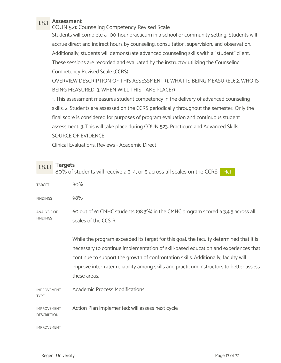1.8.1 Assessment COUN 521: Counseling Competency Revised Scale Students will complete a 100-hour practicum in a school or community setting. Students will accrue direct and indirect hours by counseling, consultation, supervision, and observation. Additionally, students will demonstrate advanced counseling skills with a "student" client. These sessions are recorded and evaluated by the instructor utilizing the Counseling Competency Revised Scale (CCRS).

OVERVIEW DESCRIPTION OF THIS ASSESSMENT (1. WHAT IS BEING MEASURED; 2. WHO IS BEING MEASURED; 3. WHEN WILL THIS TAKE PLACE?)

1. This assessment measures student competency in the delivery of advanced counseling skills. 2. Students are assessed on the CCRS periodically throughout the semester. Only the final score is considered for purposes of program evaluation and continuous student assessment. 3. This will take place during COUN 523: Practicum and Advanced Skills. SOURCE OF EVIDENCE

Clinical Evaluations, Reviews - Academic Direct

| 1.8.1.1 Targets                                                                                             |  |
|-------------------------------------------------------------------------------------------------------------|--|
| $0.00\leq t$ at attachments will we say that $0.2$ the surface second all speakers and the CCDC $\sim$ M is |  |

|                                          | 80% of students will receive a 3, 4, or 5 across all scales on the CCRS. Met                                                                                                                                                                                                                                                                                                  |
|------------------------------------------|-------------------------------------------------------------------------------------------------------------------------------------------------------------------------------------------------------------------------------------------------------------------------------------------------------------------------------------------------------------------------------|
| <b>TARGET</b>                            | 80%                                                                                                                                                                                                                                                                                                                                                                           |
| <b>FINDINGS</b>                          | 98%                                                                                                                                                                                                                                                                                                                                                                           |
| <b>ANALYSIS OF</b><br><b>FINDINGS</b>    | 60 out of 61 CMHC students (98.3%) in the CMHC program scored a 3,4,5 across all<br>scales of the CCS-R.                                                                                                                                                                                                                                                                      |
|                                          | While the program exceeded its target for this goal, the faculty determined that it is<br>necessary to continue implementation of skill-based education and experiences that<br>continue to support the growth of confrontation skills. Additionally, faculty will<br>improve inter-rater reliability among skills and practicum instructors to better assess<br>these areas. |
| <b>IMPROVEMENT</b><br><b>TYPE</b>        | <b>Academic Process Modifications</b>                                                                                                                                                                                                                                                                                                                                         |
| <b>IMPROVEMENT</b><br><b>DESCRIPTION</b> | Action Plan implemented; will assess next cycle                                                                                                                                                                                                                                                                                                                               |
| <b>IMPROVEMENT</b>                       |                                                                                                                                                                                                                                                                                                                                                                               |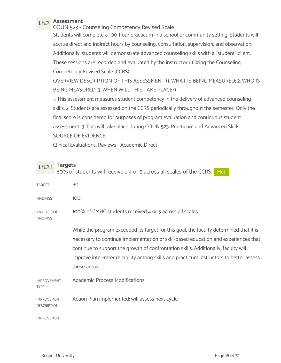1.8.2 Assessment COUN 523 - Counseling Competency Revised Scale Students will complete a 100-hour practicum in a school or community setting. Students will accrue direct and indirect hours by counseling, consultation, supervision, and observation. Additionally, students will demonstrate advanced counseling skills with a "student" client. These sessions are recorded and evaluated by the instructor utilizing the Counseling Competency Revised Scale (CCRS).

OVERVIEW DESCRIPTION OF THIS ASSESSMENT (1. WHAT IS BEING MEASURED; 2. WHO IS BEING MEASURED; 3. WHEN WILL THIS TAKE PLACE?)

1. This assessment measures student competency in the delivery of advanced counseling skills. 2. Students are assessed on the CCRS periodically throughout the semester. Only the final score is considered for purposes of program evaluation and continuous student assessment. 3. This will take place during COUN 523: Practicum and Advanced Skills. SOURCE OF EVIDENCE

Clinical Evaluations, Reviews - Academic Direct

| 18.21 | Targets |
|-------|---------|
|-------|---------|

| 1.8.2.1                                  | <b>Targets</b> | 80% of students will receive a 4 or 5 across all scales of the CCRS. Met                                                                                                                                                                                                                                                                                                      |
|------------------------------------------|----------------|-------------------------------------------------------------------------------------------------------------------------------------------------------------------------------------------------------------------------------------------------------------------------------------------------------------------------------------------------------------------------------|
| <b>TARGET</b>                            |                | 80                                                                                                                                                                                                                                                                                                                                                                            |
| <b>FINDINGS</b>                          |                | 100                                                                                                                                                                                                                                                                                                                                                                           |
| <b>ANALYSIS OF</b><br><b>FINDINGS</b>    |                | 100% of CMHC students received 4 or 5 across all scales.                                                                                                                                                                                                                                                                                                                      |
|                                          |                | While the program exceeded its target for this goal, the faculty determined that it is<br>necessary to continue implementation of skill-based education and experiences that<br>continue to support the growth of confrontation skills. Additionally, faculty will<br>improve inter-rater reliability among skills and practicum instructors to better assess<br>these areas. |
| <b>IMPROVEMENT</b><br><b>TYPE</b>        |                | <b>Academic Process Modifications</b>                                                                                                                                                                                                                                                                                                                                         |
| <b>IMPROVEMENT</b><br><b>DESCRIPTION</b> |                | Action Plan implemented; will assess next cycle                                                                                                                                                                                                                                                                                                                               |
| <b>IMPROVEMENT</b>                       |                |                                                                                                                                                                                                                                                                                                                                                                               |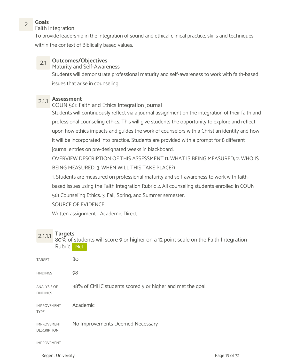2 Goals<br>Eaith Integration Faith Integration

To provide leadership in the integration of sound and ethical clinical practice, skills and techniques within the context of Biblically based values.

## 2.1 Outcomes/Objectives

Maturity and Self-Awareness Students will demonstrate professional maturity and self-awareness to work with faith-based issues that arise in counseling.

# 2.1.1 **Assessment**<br>COUN 561: Faith and Ethics Integration Journal

Students will continuously reflect via a journal assignment on the integration of their faith and professional counseling ethics. This will give students the opportunity to explore and reflect upon how ethics impacts and guides the work of counselors with a Christian identity and how it will be incorporated into practice. Students are provided with a prompt for 8 different journal entries on pre-designated weeks in blackboard.

OVERVIEW DESCRIPTION OF THIS ASSESSMENT (1. WHAT IS BEING MEASURED; 2. WHO IS BEING MEASURED; 3. WHEN WILL THIS TAKE PLACE?)

1. Students are measured on professional maturity and self-awareness to work with faithbased issues using the Faith Integration Rubric 2. All counseling students enrolled in COUN 561 Counseling Ethics. 3. Fall, Spring, and Summer semester.

SOURCE OF EVIDENCE

Written assignment - Academic Direct

2.1.1.1 Targets<br>80% of students will score 9 or higher on a 12 point scale on the Faith Integration Rubric Met

| <b>TARGET</b>                            | 80                                                        |
|------------------------------------------|-----------------------------------------------------------|
| <b>FINDINGS</b>                          | 98                                                        |
| <b>ANALYSIS OF</b><br><b>FINDINGS</b>    | 98% of CMHC students scored 9 or higher and met the goal. |
| <b>IMPROVEMENT</b><br><b>TYPE</b>        | Academic                                                  |
| <b>IMPROVEMENT</b><br><b>DESCRIPTION</b> | No Improvements Deemed Necessary                          |
| <b>IMPROVEMENT</b>                       |                                                           |

Regent University **Page 19 of 32**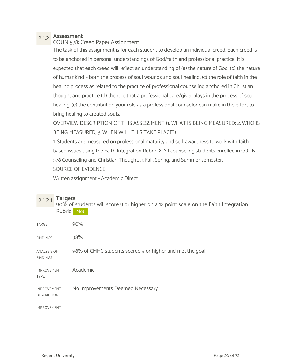## 2.1.2 Assessment

COUN 578: Creed Paper Assignment

The task of this assignment is for each student to develop an individual creed. Each creed is to be anchored in personal understandings of God/faith and professional practice. It is expected that each creed will reflect an understanding of (a) the nature of God, (b) the nature of humankind – both the process of soul wounds and soul healing, (c) the role of faith in the healing process as related to the practice of professional counseling anchored in Christian thought and practice (d) the role that a professional care/giver plays in the process of soul healing, (e) the contribution your role as a professional counselor can make in the effort to bring healing to created souls.

OVERVIEW DESCRIPTION OF THIS ASSESSMENT (1. WHAT IS BEING MEASURED; 2. WHO IS BEING MEASURED; 3. WHEN WILL THIS TAKE PLACE?)

1. Students are measured on professional maturity and self-awareness to work with faithbased issues using the Faith Integration Rubric 2. All counseling students enrolled in COUN 578 Counseling and Christian Thought. 3. Fall, Spring, and Summer semester. SOURCE OF EVIDENCE

Written assignment - Academic Direct

| 2.1.2.1                                  | <b>Targets</b><br>90% of students will score 9 or higher on a 12 point scale on the Faith Integration<br><b>Rubric</b><br>Met |
|------------------------------------------|-------------------------------------------------------------------------------------------------------------------------------|
| <b>TARGET</b>                            | 90%                                                                                                                           |
| <b>FINDINGS</b>                          | 98%                                                                                                                           |
| ANALYSIS OF<br><b>FINDINGS</b>           | 98% of CMHC students scored 9 or higher and met the goal.                                                                     |
| <b>IMPROVEMENT</b><br><b>TYPE</b>        | Academic                                                                                                                      |
| <b>IMPROVEMENT</b><br><b>DESCRIPTION</b> | No Improvements Deemed Necessary                                                                                              |
| <b>IMPROVEMENT</b>                       |                                                                                                                               |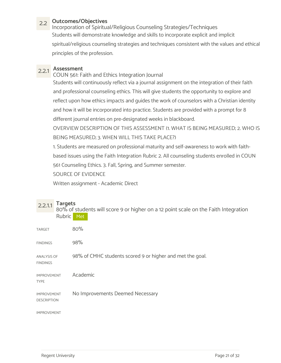2.2 Outcomes/Objectives Incorporation of Spiritual/Religious Counseling Strategies/Techniques Students will demonstrate knowledge and skills to incorporate explicit and implicit spiritual/religious counseling strategies and techniques consistent with the values and ethical principles of the profession.

2.2.1 **Assessment**<br>COUN 561: Faith and Ethics Integration Journal

Students will continuously reflect via a journal assignment on the integration of their faith and professional counseling ethics. This will give students the opportunity to explore and reflect upon how ethics impacts and guides the work of counselors with a Christian identity and how it will be incorporated into practice. Students are provided with a prompt for 8 different journal entries on pre-designated weeks in blackboard.

OVERVIEW DESCRIPTION OF THIS ASSESSMENT (1. WHAT IS BEING MEASURED; 2. WHO IS BEING MEASURED; 3. WHEN WILL THIS TAKE PLACE?)

1. Students are measured on professional maturity and self-awareness to work with faithbased issues using the Faith Integration Rubric 2. All counseling students enrolled in COUN 561 Counseling Ethics. 3. Fall, Spring, and Summer semester.

SOURCE OF EVIDENCE

Written assignment - Academic Direct

2.2.1.1 Targets<br>80% of students will score 9 or higher on a 12 point scale on the Faith Integration Rubric Met

| <b>TARGET</b>                            | 80%                                                       |
|------------------------------------------|-----------------------------------------------------------|
| <b>FINDINGS</b>                          | 98%                                                       |
| <b>ANALYSIS OF</b><br><b>FINDINGS</b>    | 98% of CMHC students scored 9 or higher and met the goal. |
| <b>IMPROVEMENT</b><br><b>TYPE</b>        | Academic                                                  |
| <b>IMPROVEMENT</b><br><b>DESCRIPTION</b> | No Improvements Deemed Necessary                          |
| <b>IMPROVEMENT</b>                       |                                                           |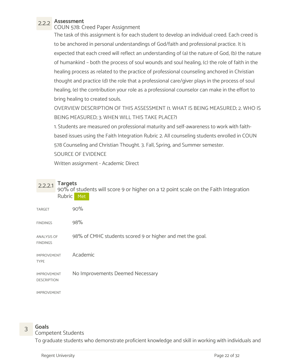2.2.2 **Assessment**<br>COUN 578: Creed Paper Assignment

The task of this assignment is for each student to develop an individual creed. Each creed is to be anchored in personal understandings of God/faith and professional practice. It is expected that each creed will reflect an understanding of (a) the nature of God, (b) the nature of humankind – both the process of soul wounds and soul healing, (c) the role of faith in the healing process as related to the practice of professional counseling anchored in Christian thought and practice (d) the role that a professional care/giver plays in the process of soul healing, (e) the contribution your role as a professional counselor can make in the effort to bring healing to created souls.

OVERVIEW DESCRIPTION OF THIS ASSESSMENT (1. WHAT IS BEING MEASURED; 2. WHO IS BEING MEASURED; 3. WHEN WILL THIS TAKE PLACE?)

1. Students are measured on professional maturity and self-awareness to work with faithbased issues using the Faith Integration Rubric 2. All counseling students enrolled in COUN 578 Counseling and Christian Thought. 3. Fall, Spring, and Summer semester.

## SOURCE OF EVIDENCE

Written assignment - Academic Direct

2.2.2.1 Targets<br>90% of students will score 9 or higher on a 12 point scale on the Faith Integration Rubric Met

| <b>TARGET</b>                            | 90%                                                       |
|------------------------------------------|-----------------------------------------------------------|
| <b>FINDINGS</b>                          | 98%                                                       |
| <b>ANALYSIS OF</b><br><b>FINDINGS</b>    | 98% of CMHC students scored 9 or higher and met the goal. |
| <b>IMPROVEMENT</b><br><b>TYPE</b>        | Academic                                                  |
| <b>IMPROVEMENT</b><br><b>DESCRIPTION</b> | No Improvements Deemed Necessary                          |

IMPROVEMENT

# 3 Goals<br>
Sompetent Students

To graduate students who demonstrate proficient knowledge and skill in working with individuals and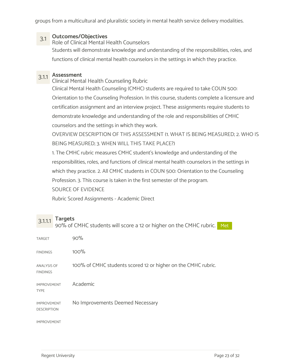groups from a multicultural and pluralistic society in mental health service delivery modalities.

3.1 Outcomes/Objectives Role of Clinical Mental Health Counselors Students will demonstrate knowledge and understanding of the responsibilities, roles, and functions of clinical mental health counselors in the settings in which they practice.

3.1.1 Assessment Clinical Mental Health Counseling Rubric

Clinical Mental Health Counseling (CMHC) students are required to take COUN 500: Orientation to the Counseling Profession. In this course, students complete a licensure and certification assignment and an interview project. These assignments require students to demonstrate knowledge and understanding of the role and responsibilities of CMHC counselors and the settings in which they work.

OVERVIEW DESCRIPTION OF THIS ASSESSMENT (1. WHAT IS BEING MEASURED; 2. WHO IS BEING MEASURED; 3. WHEN WILL THIS TAKE PLACE?)

1. The CMHC rubric measures CMHC student's knowledge and understanding of the responsibilities, roles, and functions of clinical mental health counselors in the settings in which they practice. 2. All CMHC students in COUN 500: Orientation to the Counseling Profession. 3. This course is taken in the first semester of the program.

SOURCE OF EVIDENCE

Rubric Scored Assignments - Academic Direct

 $3.1.1.1$  Targets<br> $3.1.1.1$  Targets 90% of CMHC students will score a 12 or higher on the CMHC rubric. Met and the co

| <b>TARGET</b>                            | 90%                                                           |
|------------------------------------------|---------------------------------------------------------------|
| <b>FINDINGS</b>                          | 100%                                                          |
| <b>ANALYSIS OF</b><br><b>FINDINGS</b>    | 100% of CMHC students scored 12 or higher on the CMHC rubric. |
| <b>IMPROVEMENT</b><br><b>TYPE</b>        | Academic                                                      |
| <b>IMPROVEMENT</b><br><b>DESCRIPTION</b> | No Improvements Deemed Necessary                              |
| <b>IMPROVEMENT</b>                       |                                                               |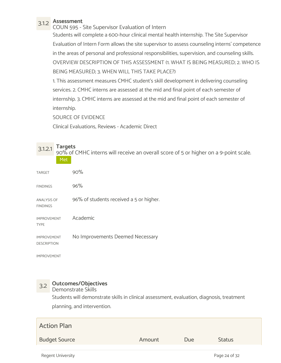3.1.2 Assessment COUN 595 - Site Supervisor Evaluation of Intern Students will complete a 600-hour clinical mental health internship. The Site Supervisor Evaluation of Intern Form allows the site supervisor to assess counseling interns' competence in the areas of personal and professional responsibilities, supervision, and counseling skills. OVERVIEW DESCRIPTION OF THIS ASSESSMENT (1. WHAT IS BEING MEASURED; 2. WHO IS BEING MEASURED; 3. WHEN WILL THIS TAKE PLACE?)

1. This assessment measures CMHC student's skill development in delivering counseling services. 2. CMHC interns are assessed at the mid and final point of each semester of internship. 3. CMHC interns are assessed at the mid and final point of each semester of internship.

SOURCE OF EVIDENCE

Clinical Evaluations, Reviews - Academic Direct

| <b>Targets</b><br>3.1.2.1<br>Met         | 90% of CMHC interns will receive an overall score of 5 or higher on a 9-point scale. |
|------------------------------------------|--------------------------------------------------------------------------------------|
| <b>TARGET</b>                            | 90%                                                                                  |
| <b>FINDINGS</b>                          | 96%                                                                                  |
| <b>ANALYSIS OF</b><br><b>FINDINGS</b>    | 96% of students received a 5 or higher.                                              |
| <b>IMPROVEMENT</b><br><b>TYPE</b>        | Academic                                                                             |
| <b>IMPROVEMENT</b><br><b>DESCRIPTION</b> | No Improvements Deemed Necessary                                                     |

IMPROVEMENT

## 3.2 Outcomes/Objectives

Demonstrate Skills

Students will demonstrate skills in clinical assessment, evaluation, diagnosis, treatment planning, and intervention.

| <b>Action Plan</b>       |        |     |               |  |
|--------------------------|--------|-----|---------------|--|
| <b>Budget Source</b>     | Amount | Due | <b>Status</b> |  |
| <b>Regent University</b> |        |     | Page 24 of 32 |  |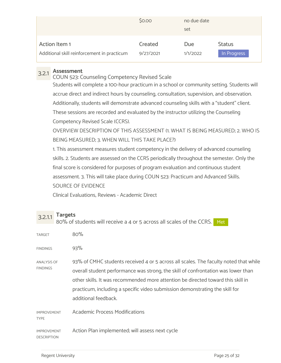|                                             | \$0.00    | no due date<br>set |               |
|---------------------------------------------|-----------|--------------------|---------------|
| Action Item 1                               | Created   | Due                | <b>Status</b> |
| Additional skill reinforcement in practicum | 9/27/2021 | 1/1/2022           | In Progress   |

3.2.1 Assessment COUN 523: Counseling Competency Revised Scale

Students will complete a 100-hour practicum in a school or community setting. Students will accrue direct and indirect hours by counseling, consultation, supervision, and observation. Additionally, students will demonstrate advanced counseling skills with a "student" client. These sessions are recorded and evaluated by the instructor utilizing the Counseling Competency Revised Scale (CCRS).

OVERVIEW DESCRIPTION OF THIS ASSESSMENT (1. WHAT IS BEING MEASURED; 2. WHO IS BEING MEASURED; 3. WHEN WILL THIS TAKE PLACE?)

1. This assessment measures student competency in the delivery of advanced counseling skills. 2. Students are assessed on the CCRS periodically throughout the semester. Only the final score is considered for purposes of program evaluation and continuous student assessment. 3. This will take place during COUN 523: Practicum and Advanced Skills. SOURCE OF EVIDENCE

Clinical Evaluations, Reviews - Academic Direct

3.2.1.1 Targets<br>3.2.1.1 Ro<sup>o</sup>/ of students will resolve a 4 at F assess all scale 80% of students will receive a 4 or 5 across all scales of the CCRS. Met

| TARGET                                | 80%                                                                                                                                                                                                                                                                                                                                                                   |
|---------------------------------------|-----------------------------------------------------------------------------------------------------------------------------------------------------------------------------------------------------------------------------------------------------------------------------------------------------------------------------------------------------------------------|
| <b>FINDINGS</b>                       | 93%                                                                                                                                                                                                                                                                                                                                                                   |
| <b>ANALYSIS OF</b><br><b>FINDINGS</b> | 93% of CMHC students received 4 or 5 across all scales. The faculty noted that while<br>overall student performance was strong, the skill of confrontation was lower than<br>other skills. It was recommended more attention be directed toward this skill in<br>practicum, including a specific video submission demonstrating the skill for<br>additional feedback. |
| <b>IMPROVEMENT</b><br><b>TYPE</b>     | <b>Academic Process Modifications</b>                                                                                                                                                                                                                                                                                                                                 |
| <b>IMPROVEMENT</b><br>DESCRIPTION     | Action Plan implemented; will assess next cycle                                                                                                                                                                                                                                                                                                                       |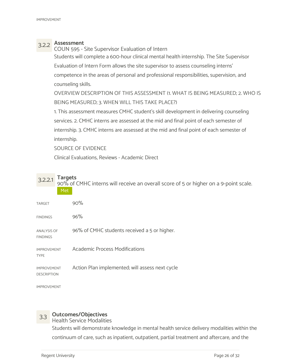3.2.2 Assessment COUN 595 - Site Supervisor Evaluation of Intern Students will complete a 600-hour clinical mental health internship. The Site Supervisor Evaluation of Intern Form allows the site supervisor to assess counseling interns' competence in the areas of personal and professional responsibilities, supervision, and counseling skills.

OVERVIEW DESCRIPTION OF THIS ASSESSMENT (1. WHAT IS BEING MEASURED; 2. WHO IS BEING MEASURED; 3. WHEN WILL THIS TAKE PLACE?)

1. This assessment measures CMHC student's skill development in delivering counseling services. 2. CMHC interns are assessed at the mid and final point of each semester of internship. 3. CMHC interns are assessed at the mid and final point of each semester of internship.

SOURCE OF EVIDENCE

Clinical Evaluations, Reviews - Academic Direct

3.2.2.1 Targets<br>90% of CMHC interns will receive an overall score of 5 or higher on a 9-point scale. Met

| <b>TARGET</b>                            | 90%                                             |
|------------------------------------------|-------------------------------------------------|
| <b>FINDINGS</b>                          | 96%                                             |
| <b>ANALYSIS OF</b><br><b>FINDINGS</b>    | 96% of CMHC students received a 5 or higher.    |
| <b>IMPROVEMENT</b><br><b>TYPE</b>        | <b>Academic Process Modifications</b>           |
| <b>IMPROVEMENT</b><br><b>DESCRIPTION</b> | Action Plan implemented; will assess next cycle |
|                                          |                                                 |

IMPROVEMENT

## 3.3 Outcomes/Objectives

Health Service Modalities

Students will demonstrate knowledge in mental health service delivery modalities within the continuum of care, such as inpatient, outpatient, partial treatment and aftercare, and the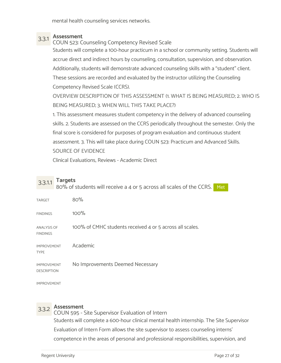mental health counseling services networks.

3.3.1 Assessment COUN 523: Counseling Competency Revised Scale Students will complete a 100-hour practicum in a school or community setting. Students will accrue direct and indirect hours by counseling, consultation, supervision, and observation. Additionally, students will demonstrate advanced counseling skills with a "student" client. These sessions are recorded and evaluated by the instructor utilizing the Counseling Competency Revised Scale (CCRS).

OVERVIEW DESCRIPTION OF THIS ASSESSMENT (1. WHAT IS BEING MEASURED; 2. WHO IS BEING MEASURED; 3. WHEN WILL THIS TAKE PLACE?)

1. This assessment measures student competency in the delivery of advanced counseling skills. 2. Students are assessed on the CCRS periodically throughout the semester. Only the final score is considered for purposes of program evaluation and continuous student assessment. 3. This will take place during COUN 523: Practicum and Advanced Skills. SOURCE OF EVIDENCE

Clinical Evaluations, Reviews - Academic Direct

## 3.3.1.1 Targets<br>3.3.1.1 Ro<sup>o</sup>/ of students will resolve a 4 at F astess all scale

80% of students will receive a 4 or 5 across all scales of the CCRS. Met  $\frac{1}{80\%}$  $FINDINGS$  100% ANALYSIS OF 100% of CMHC students received 4 or 5 across all scales. FINDINGS IMPROVEMENT TYPE Academic IMPROVEMENT No Improvements Deemed Necessary DESCRIPTION

IMPROVEMENT

3.3.2 Assessment COUN 595 - Site Supervisor Evaluation of Intern Students will complete a 600-hour clinical mental health internship. The Site Supervisor Evaluation of Intern Form allows the site supervisor to assess counseling interns' competence in the areas of personal and professional responsibilities, supervision, and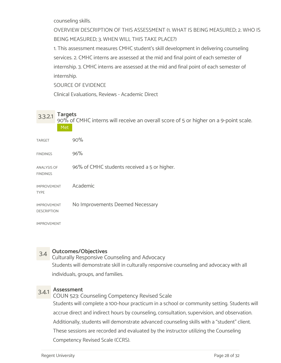counseling skills.

OVERVIEW DESCRIPTION OF THIS ASSESSMENT (1. WHAT IS BEING MEASURED; 2. WHO IS BEING MEASURED; 3. WHEN WILL THIS TAKE PLACE?)

1. This assessment measures CMHC student's skill development in delivering counseling services. 2. CMHC interns are assessed at the mid and final point of each semester of internship. 3. CMHC interns are assessed at the mid and final point of each semester of internship.

SOURCE OF EVIDENCE

Clinical Evaluations, Reviews - Academic Direct

3.3.2.1 Targets<br>90% of CMHC interns will receive an overall score of 5 or higher on a 9-point scale. Met also and the second second second second second second second second second second second second second second second second second second second second second second second second second second second second second se

| <b>TARGET</b>                            | 90%                                          |
|------------------------------------------|----------------------------------------------|
| <b>FINDINGS</b>                          | 96%                                          |
| <b>ANALYSIS OF</b><br><b>FINDINGS</b>    | 96% of CMHC students received a 5 or higher. |
| <b>IMPROVEMENT</b><br><b>TYPE</b>        | Academic                                     |
| <b>IMPROVEMENT</b><br><b>DESCRIPTION</b> | No Improvements Deemed Necessary             |

IMPROVEMENT

## 3.4 Outcomes/Objectives

Culturally Responsive Counseling and Advocacy Students will demonstrate skill in culturally responsive counseling and advocacy with all individuals, groups, and families.

3.4.1 Assessment COUN 523: Counseling Competency Revised Scale Students will complete a 100-hour practicum in a school or community setting. Students will accrue direct and indirect hours by counseling, consultation, supervision, and observation. Additionally, students will demonstrate advanced counseling skills with a "student" client. These sessions are recorded and evaluated by the instructor utilizing the Counseling Competency Revised Scale (CCRS).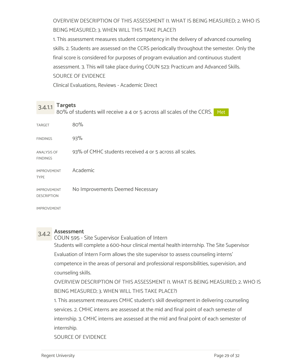OVERVIEW DESCRIPTION OF THIS ASSESSMENT (1. WHAT IS BEING MEASURED; 2. WHO IS BEING MEASURED; 3. WHEN WILL THIS TAKE PLACE?)

1. This assessment measures student competency in the delivery of advanced counseling skills. 2. Students are assessed on the CCRS periodically throughout the semester. Only the final score is considered for purposes of program evaluation and continuous student assessment. 3. This will take place during COUN 523: Practicum and Advanced Skills. SOURCE OF EVIDENCE

Clinical Evaluations, Reviews - Academic Direct

 $3.4.1.1$  Targets<br> $3.4.1.1$  Targets 80% of students will receive a 4 or 5 across all scales of the CCRS. Met net all  $\sim$ 

| <b>TARGET</b>                            | 80%                                                     |
|------------------------------------------|---------------------------------------------------------|
| <b>FINDINGS</b>                          | 93%                                                     |
| <b>ANALYSIS OF</b><br><b>FINDINGS</b>    | 93% of CMHC students received 4 or 5 across all scales. |
| <b>IMPROVEMENT</b><br><b>TYPE</b>        | Academic                                                |
| <b>IMPROVEMENT</b><br><b>DESCRIPTION</b> | No Improvements Deemed Necessary                        |

IMPROVEMENT

3.4.2 Assessment COUN 595 - Site Supervisor Evaluation of Intern Students will complete a 600-hour clinical mental health internship. The Site Supervisor Evaluation of Intern Form allows the site supervisor to assess counseling interns' competence in the areas of personal and professional responsibilities, supervision, and counseling skills.

OVERVIEW DESCRIPTION OF THIS ASSESSMENT (1. WHAT IS BEING MEASURED; 2. WHO IS BEING MEASURED; 3. WHEN WILL THIS TAKE PLACE?)

1. This assessment measures CMHC student's skill development in delivering counseling services. 2. CMHC interns are assessed at the mid and final point of each semester of internship. 3. CMHC interns are assessed at the mid and final point of each semester of internship.

SOURCE OF EVIDENCE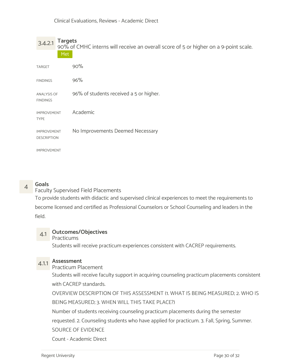3.4.2.1 Targets<br>90% of CMHC interns will receive an overall score of 5 or higher on a 9-point scale. Met als a services and the services of the series of the series of the series of the series of the series of the series of the series of the series of the series of the series of the series of the series of the series of t

| <b>TARGET</b>                            | 90%                                     |
|------------------------------------------|-----------------------------------------|
| <b>FINDINGS</b>                          | 96%                                     |
| <b>ANALYSIS OF</b><br><b>FINDINGS</b>    | 96% of students received a 5 or higher. |
| <b>IMPROVEMENT</b><br><b>TYPE</b>        | Academic                                |
| <b>IMPROVEMENT</b><br><b>DESCRIPTION</b> | No Improvements Deemed Necessary        |
| <b>IMPROVEMENT</b>                       |                                         |

4 Goals<br>
Faculty Supervised Field Placements To provide students with didactic and supervised clinical experiences to meet the requirements to

become licensed and certified as Professional Counselors or School Counseling and leaders in the field.

## 4.1 Outcomes/Objectives

## Practicums

Students will receive practicum experiences consistent with CACREP requirements.

# 4.1.1 Assessment

## Practicum Placement

Students will receive faculty support in acquiring counseling practicum placements consistent with CACREP standards.

OVERVIEW DESCRIPTION OF THIS ASSESSMENT (1. WHAT IS BEING MEASURED; 2. WHO IS BEING MEASURED; 3. WHEN WILL THIS TAKE PLACE?)

Number of students receiving counseling practicum placements during the semester

requested. 2. Counseling students who have applied for practicum. 3. Fall, Spring, Summer.

## SOURCE OF EVIDENCE

Count - Academic Direct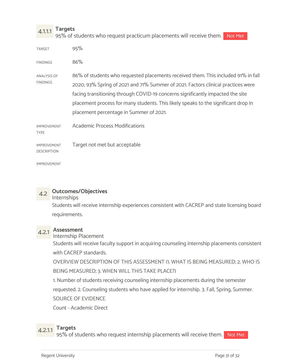$4.1.1.1$  Targets<br> $4.1.1.1$  Targets 95% of students who request practicum placements will receive them. Not Met

| TARGET 95% |  |  |  |  |  |  |  |  |  |
|------------|--|--|--|--|--|--|--|--|--|
|------------|--|--|--|--|--|--|--|--|--|

 $86\%$ 

ANALYSIS OF 86% of students who requested placements received them. This included 91% in fall FINDINGS 2020, 93% Spring of 2021 and 71% Summer of 2021. Factors clinical practices were facing transitioning through COVID-19 concerns significantly impacted the site placement process for many students. This likely speaks to the significant drop in placement percentage in Summer of 2021.

IMPROVEMENT Academic Process Modifications

IMPROVEMENT Target not met but acceptable

TYPE

IMPROVEMENT

DESCRIPTION

## 4.2 Outcomes/Objectives

Internships

Students will receive internship experiences consistent with CACREP and state licensing board requirements.

# 4.2.1 Assessment

Internship Placement

Students will receive faculty support in acquiring counseling internship placements consistent with CACREP standards.

OVERVIEW DESCRIPTION OF THIS ASSESSMENT (1. WHAT IS BEING MEASURED; 2. WHO IS

BEING MEASURED; 3. WHEN WILL THIS TAKE PLACE?)

1. Number of students receiving counseling internship placements during the semester

requested. 2. Counseling students who have applied for internship. 3. Fall, Spring, Summer.

SOURCE OF EVIDENCE

Count - Academic Direct

4.2.1.1 Targets<br>4.2.1.1 OF% of students who request internship placements 95% of students who request internship placements will receive them. Not Met